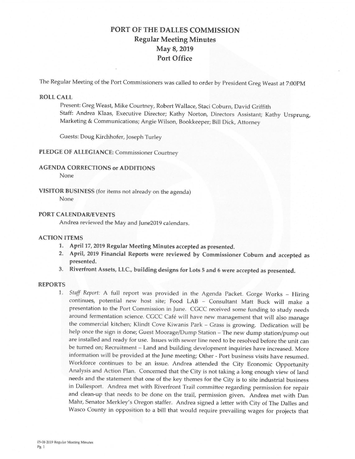# PORT OF THE DALLES COMMISSION Regular Meeting Minutes May 8, 2019 Port Office

The Regular Meeting of the Port Commissioners was called to order by President Greg Weast at 7:00PM

## ROLL CALL

Present: Greg Weast, Mike Courtney, Robert Wallace, Staci Coburn, David Griffith Staff: Andrea Klaas, Executive Director; Kathy Norton, Directors Assistant; Kathy Ursprung, Marketing & Communications; Angie Wilson, Bookkeeper; Bill Dick, Attorney

Guests: Doug Kirchhofer, Joseph Turley

# PLEDGE OF ALLEGIANCE: Commissioner Courtney

# **AGENDA CORRECTIONS or ADDITIONS**

None

VISITOR BUSINESS (for items not already on the agenda) None

#### **PORT CALENDAR/EVENTS**

Andrea **reviewed the May and** June2019 calendars.

#### ACTION ITEMS

- 1. April 17, 2019 Regular Meeting Minutes accepted as presented .
- 2. April, 2019 Financial Reports were reviewed by Commissioner Coburn and accepted as presented.
- 3. Riverfront Assets, LLC., building designs for Lots 5 and 6 were accepted as presented.

### **REPORTS**

1. *Staff Report:* A full report was provided in the Agenda Packet. Gorge Works - Hiring continues, potential new host site; Food LAB - Consultant Matt Buck will make a presentation to the Port Commission in June. CGCC received some funding to study needs around fermentation science. CGCC Café will have new management that will also manage the commercial kitchen; Klindt Cove Kiwanis Park - Grass is growing. Dedication will be help once the sign is done; Guest Moorage/Dump Station - The new dump station/pump out are installed and ready for use. Issues with sewer line need to be resolved before the unit can be turned on; Recruitment - Land and building development inquiries have increased. More information will be provided at the June meeting; Other - Port business visits have resumed. Workforce continues to be an issue. Andrea attended the City Economic Opportunity Analysis and Action Plan. Concerned that the City is not taking a long enough view of land needs and the statement that one of the key themes for the City is to site industrial business in Dallesport. Andrea met with Riverfront Trail committee regarding permission for repair and clean-up that needs to be done on the trail, permission given. Andrea met with Dan Mahr, Senator Merkley's Oregon staffer. Andrea signed a letter with City of The Dalles and Wasco County in opposition to a bill that would require prevailing wages for projects that